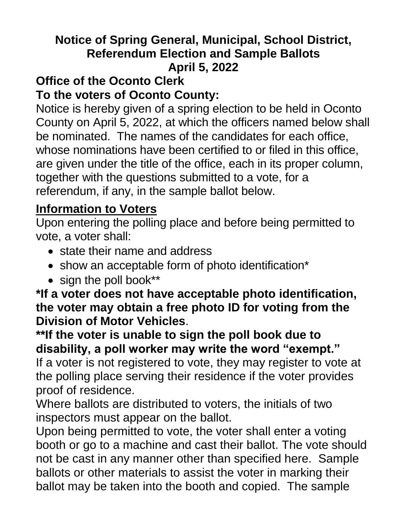## **Notice of Spring General, Municipal, School District, Referendum Election and Sample Ballots April 5, 2022**

#### **Office of the Oconto Clerk To the voters of Oconto County:**

Notice is hereby given of a spring election to be held in Oconto County on April 5, 2022, at which the officers named below shall be nominated. The names of the candidates for each office, whose nominations have been certified to or filed in this office, are given under the title of the office, each in its proper column, together with the questions submitted to a vote, for a referendum, if any, in the sample ballot below.

# **Information to Voters**

Upon entering the polling place and before being permitted to vote, a voter shall:

- state their name and address
- show an acceptable form of photo identification\*
- sign the poll book\*\*

#### **\*If a voter does not have acceptable photo identification, the voter may obtain a free photo ID for voting from the Division of Motor Vehicles**.

**\*\*If the voter is unable to sign the poll book due to disability, a poll worker may write the word "exempt."** If a voter is not registered to vote, they may register to vote at the polling place serving their residence if the voter provides proof of residence.

Where ballots are distributed to voters, the initials of two inspectors must appear on the ballot.

Upon being permitted to vote, the voter shall enter a voting booth or go to a machine and cast their ballot. The vote should not be cast in any manner other than specified here. Sample ballots or other materials to assist the voter in marking their ballot may be taken into the booth and copied. The sample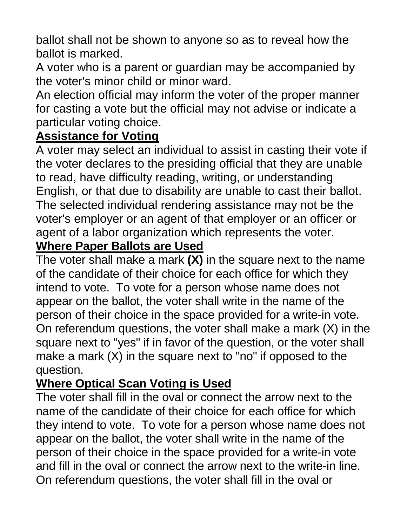ballot shall not be shown to anyone so as to reveal how the ballot is marked.

A voter who is a parent or guardian may be accompanied by the voter's minor child or minor ward.

An election official may inform the voter of the proper manner for casting a vote but the official may not advise or indicate a particular voting choice.

## **Assistance for Voting**

A voter may select an individual to assist in casting their vote if the voter declares to the presiding official that they are unable to read, have difficulty reading, writing, or understanding English, or that due to disability are unable to cast their ballot. The selected individual rendering assistance may not be the voter's employer or an agent of that employer or an officer or agent of a labor organization which represents the voter.

#### **Where Paper Ballots are Used**

The voter shall make a mark **(X)** in the square next to the name of the candidate of their choice for each office for which they intend to vote. To vote for a person whose name does not appear on the ballot, the voter shall write in the name of the person of their choice in the space provided for a write-in vote. On referendum questions, the voter shall make a mark (X) in the square next to "yes" if in favor of the question, or the voter shall make a mark (X) in the square next to "no" if opposed to the question.

# **Where Optical Scan Voting is Used**

The voter shall fill in the oval or connect the arrow next to the name of the candidate of their choice for each office for which they intend to vote. To vote for a person whose name does not appear on the ballot, the voter shall write in the name of the person of their choice in the space provided for a write-in vote and fill in the oval or connect the arrow next to the write-in line. On referendum questions, the voter shall fill in the oval or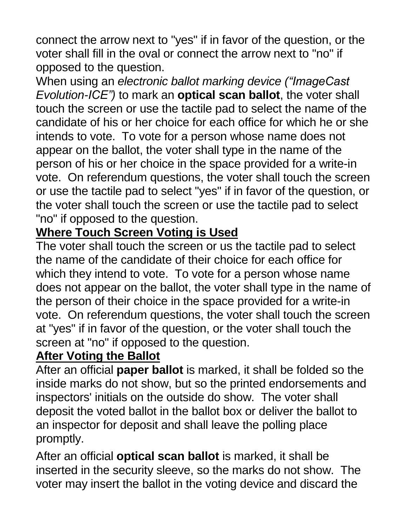connect the arrow next to "yes" if in favor of the question, or the voter shall fill in the oval or connect the arrow next to "no" if opposed to the question.

When using an *electronic ballot marking device ("ImageCast Evolution-ICE")* to mark an **optical scan ballot**, the voter shall touch the screen or use the tactile pad to select the name of the candidate of his or her choice for each office for which he or she intends to vote. To vote for a person whose name does not appear on the ballot, the voter shall type in the name of the person of his or her choice in the space provided for a write-in vote. On referendum questions, the voter shall touch the screen or use the tactile pad to select "yes" if in favor of the question, or the voter shall touch the screen or use the tactile pad to select "no" if opposed to the question.

## **Where Touch Screen Voting is Used**

The voter shall touch the screen or us the tactile pad to select the name of the candidate of their choice for each office for which they intend to vote. To vote for a person whose name does not appear on the ballot, the voter shall type in the name of the person of their choice in the space provided for a write-in vote. On referendum questions, the voter shall touch the screen at "yes" if in favor of the question, or the voter shall touch the screen at "no" if opposed to the question.

#### **After Voting the Ballot**

After an official **paper ballot** is marked, it shall be folded so the inside marks do not show, but so the printed endorsements and inspectors' initials on the outside do show. The voter shall deposit the voted ballot in the ballot box or deliver the ballot to an inspector for deposit and shall leave the polling place promptly.

After an official **optical scan ballot** is marked, it shall be inserted in the security sleeve, so the marks do not show. The voter may insert the ballot in the voting device and discard the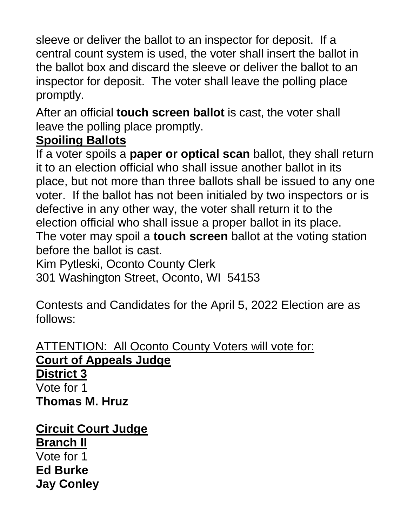sleeve or deliver the ballot to an inspector for deposit. If a central count system is used, the voter shall insert the ballot in the ballot box and discard the sleeve or deliver the ballot to an inspector for deposit. The voter shall leave the polling place promptly.

After an official **touch screen ballot** is cast, the voter shall leave the polling place promptly.

## **Spoiling Ballots**

If a voter spoils a **paper or optical scan** ballot, they shall return it to an election official who shall issue another ballot in its place, but not more than three ballots shall be issued to any one voter. If the ballot has not been initialed by two inspectors or is defective in any other way, the voter shall return it to the election official who shall issue a proper ballot in its place. The voter may spoil a **touch screen** ballot at the voting station before the ballot is cast.

Kim Pytleski, Oconto County Clerk

301 Washington Street, Oconto, WI 54153

Contests and Candidates for the April 5, 2022 Election are as follows:

**ATTENTION: All Oconto County Voters will vote for: Court of Appeals Judge District 3** Vote for 1 **Thomas M. Hruz**

**Circuit Court Judge Branch II** Vote for 1 **Ed Burke Jay Conley**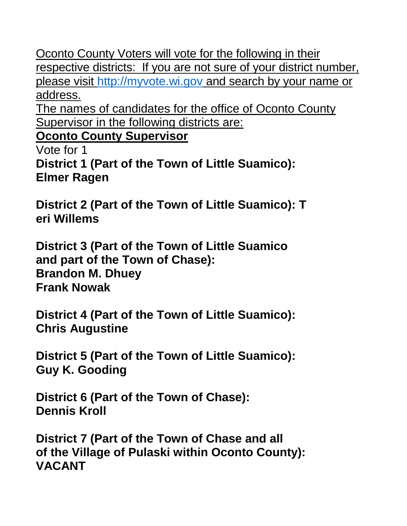Oconto County Voters will vote for the following in their respective districts: If you are not sure of your district number, please visit [http://myvote.wi.gov](http://myvote.wi.gov/) and search by your name or address.

The names of candidates for the office of Oconto County Supervisor in the following districts are:

**Oconto County Supervisor**

Vote for 1

**District 1 (Part of the Town of Little Suamico): Elmer Ragen** 

**District 2 (Part of the Town of Little Suamico): T eri Willems** 

**District 3 (Part of the Town of Little Suamico and part of the Town of Chase): Brandon M. Dhuey Frank Nowak**

**District 4 (Part of the Town of Little Suamico): Chris Augustine** 

**District 5 (Part of the Town of Little Suamico): Guy K. Gooding**

**District 6 (Part of the Town of Chase): Dennis Kroll**

**District 7 (Part of the Town of Chase and all of the Village of Pulaski within Oconto County): VACANT**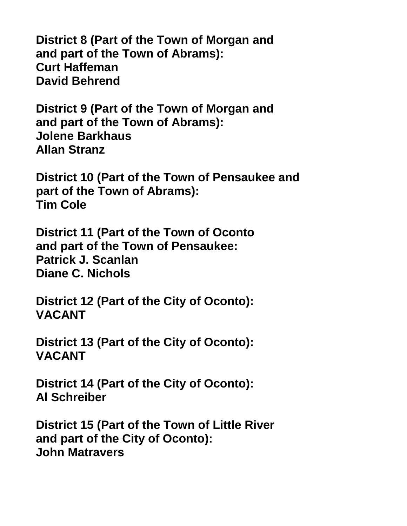**District 8 (Part of the Town of Morgan and and part of the Town of Abrams): Curt Haffeman David Behrend** 

**District 9 (Part of the Town of Morgan and and part of the Town of Abrams): Jolene Barkhaus Allan Stranz** 

**District 10 (Part of the Town of Pensaukee and part of the Town of Abrams): Tim Cole**

**District 11 (Part of the Town of Oconto and part of the Town of Pensaukee: Patrick J. Scanlan Diane C. Nichols**

**District 12 (Part of the City of Oconto): VACANT**

**District 13 (Part of the City of Oconto): VACANT**

**District 14 (Part of the City of Oconto): Al Schreiber**

**District 15 (Part of the Town of Little River and part of the City of Oconto): John Matravers**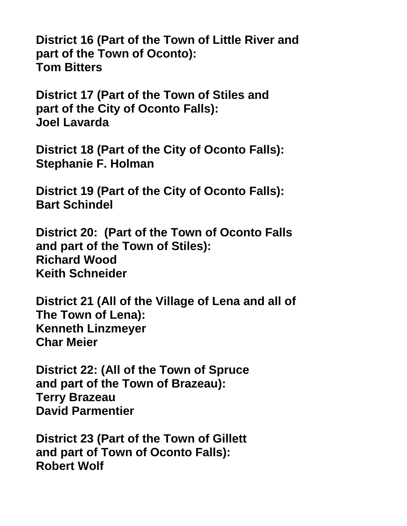**District 16 (Part of the Town of Little River and part of the Town of Oconto): Tom Bitters**

**District 17 (Part of the Town of Stiles and part of the City of Oconto Falls): Joel Lavarda**

**District 18 (Part of the City of Oconto Falls): Stephanie F. Holman**

**District 19 (Part of the City of Oconto Falls): Bart Schindel**

**District 20: (Part of the Town of Oconto Falls and part of the Town of Stiles): Richard Wood Keith Schneider**

**District 21 (All of the Village of Lena and all of The Town of Lena): Kenneth Linzmeyer Char Meier**

**District 22: (All of the Town of Spruce and part of the Town of Brazeau): Terry Brazeau David Parmentier**

**District 23 (Part of the Town of Gillett and part of Town of Oconto Falls): Robert Wolf**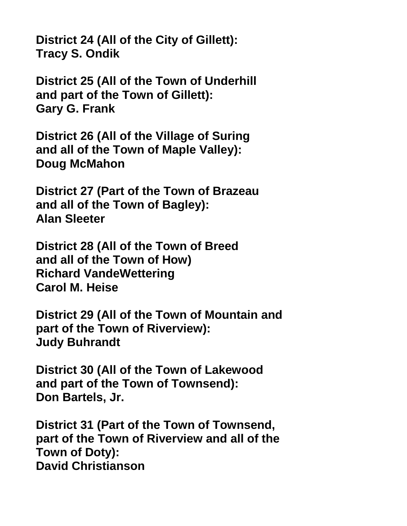**District 24 (All of the City of Gillett): Tracy S. Ondik**

**District 25 (All of the Town of Underhill and part of the Town of Gillett): Gary G. Frank**

**District 26 (All of the Village of Suring and all of the Town of Maple Valley): Doug McMahon**

**District 27 (Part of the Town of Brazeau and all of the Town of Bagley): Alan Sleeter**

**District 28 (All of the Town of Breed and all of the Town of How) Richard VandeWettering Carol M. Heise**

**District 29 (All of the Town of Mountain and part of the Town of Riverview): Judy Buhrandt**

**District 30 (All of the Town of Lakewood and part of the Town of Townsend): Don Bartels, Jr.**

**District 31 (Part of the Town of Townsend, part of the Town of Riverview and all of the Town of Doty): David Christianson**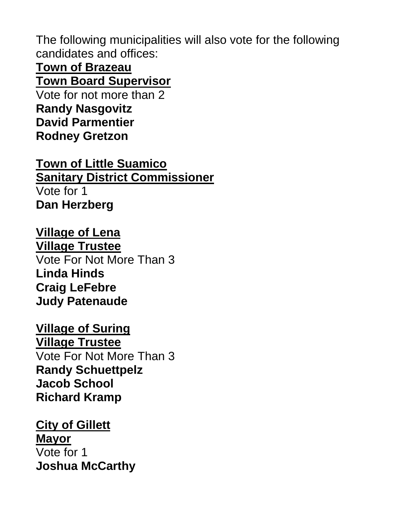The following municipalities will also vote for the following candidates and offices:

**Town of Brazeau Town Board Supervisor**

Vote for not more than 2 **Randy Nasgovitz David Parmentier Rodney Gretzon**

**Town of Little Suamico Sanitary District Commissioner** Vote for 1 **Dan Herzberg**

**Village of Lena Village Trustee** Vote For Not More Than 3 **Linda Hinds Craig LeFebre Judy Patenaude**

**Village of Suring Village Trustee** Vote For Not More Than 3 **Randy Schuettpelz Jacob School Richard Kramp**

**City of Gillett Mayor** Vote for 1 **Joshua McCarthy**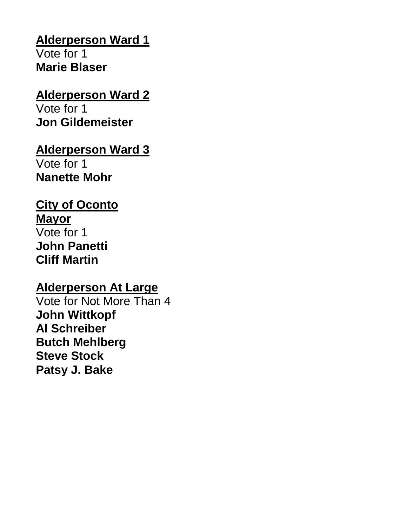## **Alderperson Ward 1**

Vote for 1 **Marie Blaser**

#### **Alderperson Ward 2**

Vote for 1 **Jon Gildemeister**

### **Alderperson Ward 3**

Vote for 1 **Nanette Mohr** 

## **City of Oconto**

**Mayor** Vote for 1 **John Panetti Cliff Martin**

#### **Alderperson At Large**

Vote for Not More Than 4 **John Wittkopf Al Schreiber Butch Mehlberg Steve Stock Patsy J. Bake**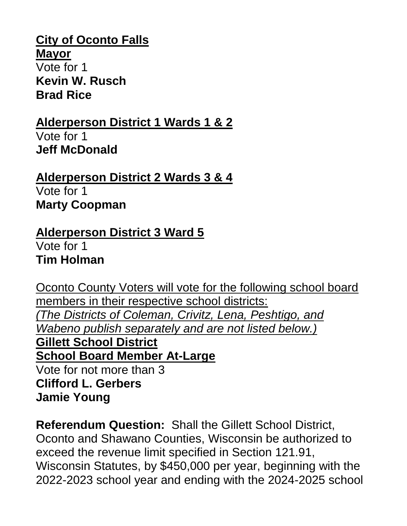#### **City of Oconto Falls**

**Mayor** Vote for 1 **Kevin W. Rusch Brad Rice**

# **Alderperson District 1 Wards 1 & 2**

Vote for 1 **Jeff McDonald**

**Alderperson District 2 Wards 3 & 4** Vote for 1 **Marty Coopman**

#### **Alderperson District 3 Ward 5**  Vote for 1 **Tim Holman**

Oconto County Voters will vote for the following school board members in their respective school districts: *(The Districts of Coleman, Crivitz, Lena, Peshtigo, and Wabeno publish separately and are not listed below.)* **Gillett School District School Board Member At-Large** Vote for not more than 3 **Clifford L. Gerbers**

**Jamie Young**

**Referendum Question:** Shall the Gillett School District, Oconto and Shawano Counties, Wisconsin be authorized to exceed the revenue limit specified in Section 121.91, Wisconsin Statutes, by \$450,000 per year, beginning with the 2022-2023 school year and ending with the 2024-2025 school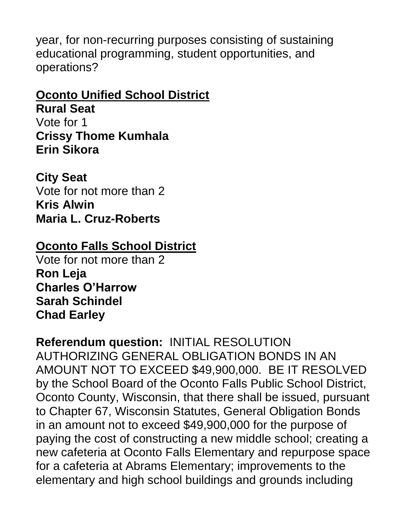year, for non-recurring purposes consisting of sustaining educational programming, student opportunities, and operations?

#### **Oconto Unified School District**

**Rural Seat** Vote for 1 **Crissy Thome Kumhala Erin Sikora**

**City Seat** Vote for not more than 2 **Kris Alwin Maria L. Cruz-Roberts**

## **Oconto Falls School District**

Vote for not more than 2 **Ron Leja Charles O'Harrow Sarah Schindel Chad Earley**

**Referendum question:** INITIAL RESOLUTION AUTHORIZING GENERAL OBLIGATION BONDS IN AN AMOUNT NOT TO EXCEED \$49,900,000. BE IT RESOLVED by the School Board of the Oconto Falls Public School District, Oconto County, Wisconsin, that there shall be issued, pursuant to Chapter 67, Wisconsin Statutes, General Obligation Bonds in an amount not to exceed \$49,900,000 for the purpose of paying the cost of constructing a new middle school; creating a new cafeteria at Oconto Falls Elementary and repurpose space for a cafeteria at Abrams Elementary; improvements to the elementary and high school buildings and grounds including